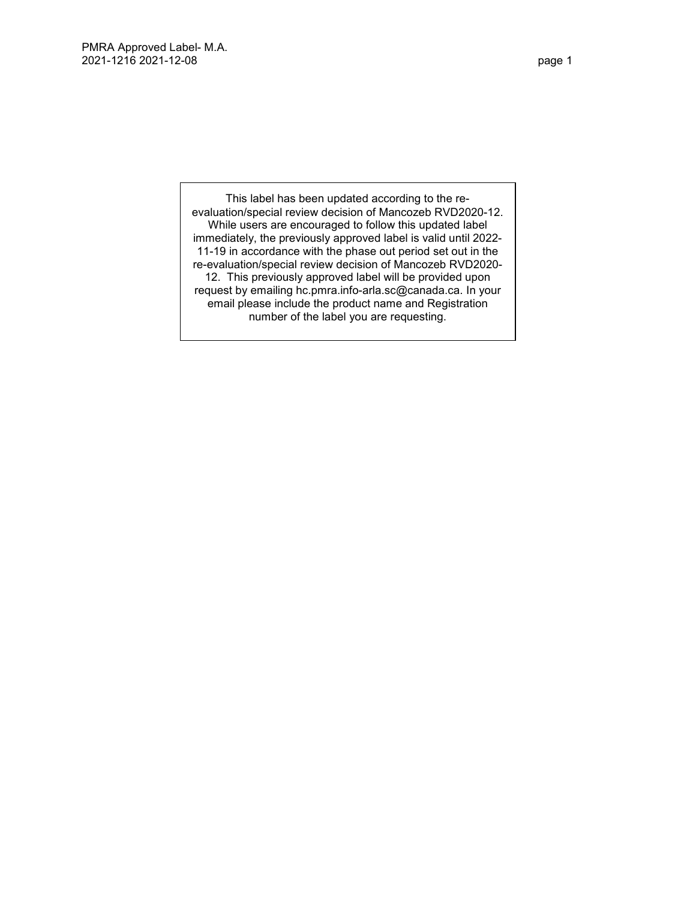This label has been updated according to the reevaluation/special review decision of Mancozeb RVD2020-12. While users are encouraged to follow this updated label immediately, the previously approved label is valid until 2022- 11-19 in accordance with the phase out period set out in the re-evaluation/special review decision of Mancozeb RVD2020- 12. This previously approved label will be provided upon request by emailing hc.pmra.info-arla.sc@canada.ca. In your email please include the product name and Registration number of the label you are requesting.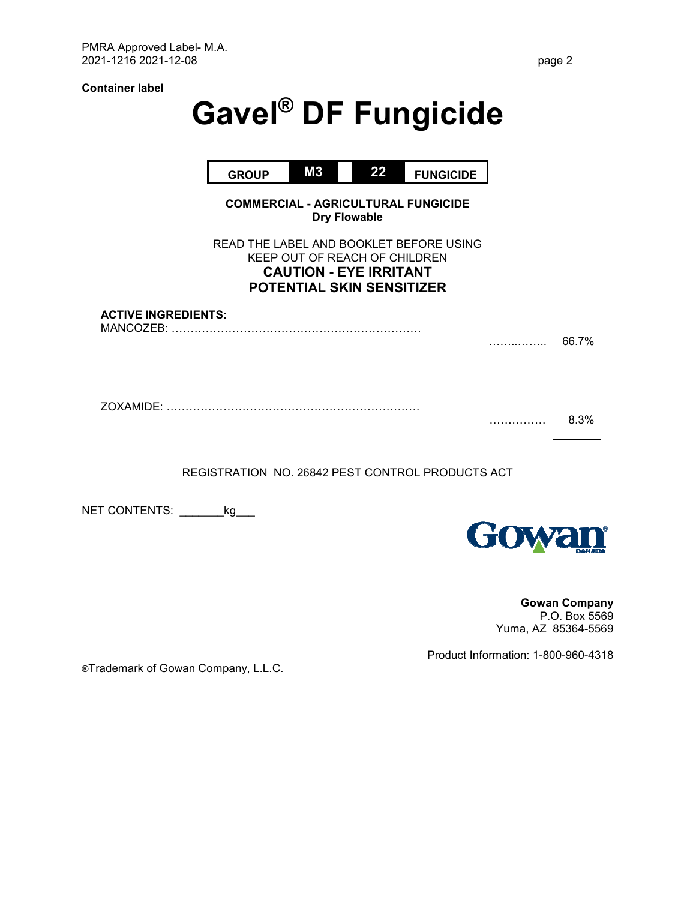**Container label** 

# **Gavel® DF Fungicide**

|                            |              |                                                                                                    | 22 |                                            |   |       |
|----------------------------|--------------|----------------------------------------------------------------------------------------------------|----|--------------------------------------------|---|-------|
|                            | <b>GROUP</b> | M3                                                                                                 |    | <b>FUNGICIDE</b>                           |   |       |
|                            |              | <b>Dry Flowable</b>                                                                                |    | <b>COMMERCIAL - AGRICULTURAL FUNGICIDE</b> |   |       |
|                            |              | KEEP OUT OF REACH OF CHILDREN<br><b>CAUTION - EYE IRRITANT</b><br><b>POTENTIAL SKIN SENSITIZER</b> |    | READ THE LABEL AND BOOKLET BEFORE USING    |   |       |
| <b>ACTIVE INGREDIENTS:</b> |              |                                                                                                    |    |                                            | . | 66.7% |
| ZOXAMIDE:                  |              |                                                                                                    |    |                                            | . | 8.3%  |

REGISTRATION NO. 26842 PEST CONTROL PRODUCTS ACT

NET CONTENTS: \_\_\_\_\_\_\_\_kg\_\_\_



**Gowan Company**  P.O. Box 5569 Yuma, AZ 85364-5569

Product Information: 1-800-960-4318

®Trademark of Gowan Company, L.L.C.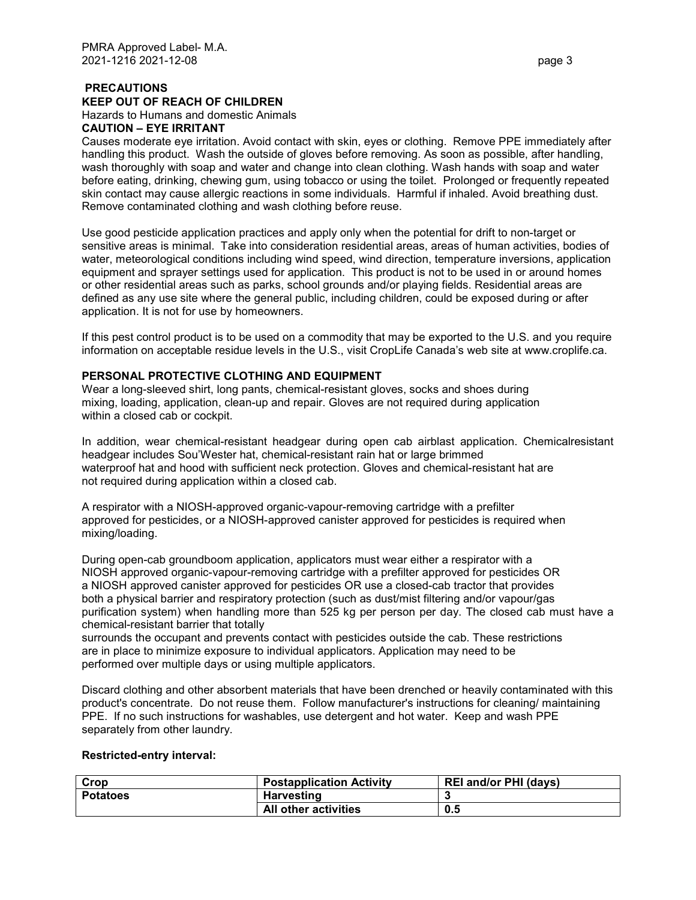# **PRECAUTIONS**

**KEEP OUT OF REACH OF CHILDREN** 

Hazards to Humans and domestic Animals

# **CAUTION – EYE IRRITANT**

Causes moderate eye irritation. Avoid contact with skin, eyes or clothing. Remove PPE immediately after handling this product. Wash the outside of gloves before removing. As soon as possible, after handling, wash thoroughly with soap and water and change into clean clothing. Wash hands with soap and water before eating, drinking, chewing gum, using tobacco or using the toilet. Prolonged or frequently repeated skin contact may cause allergic reactions in some individuals. Harmful if inhaled. Avoid breathing dust. Remove contaminated clothing and wash clothing before reuse.

Use good pesticide application practices and apply only when the potential for drift to non-target or sensitive areas is minimal. Take into consideration residential areas, areas of human activities, bodies of water, meteorological conditions including wind speed, wind direction, temperature inversions, application equipment and sprayer settings used for application. This product is not to be used in or around homes or other residential areas such as parks, school grounds and/or playing fields. Residential areas are defined as any use site where the general public, including children, could be exposed during or after application. It is not for use by homeowners.

If this pest control product is to be used on a commodity that may be exported to the U.S. and you require information on acceptable residue levels in the U.S., visit CropLife Canada's web site at www.croplife.ca.

# **PERSONAL PROTECTIVE CLOTHING AND EQUIPMENT**

Wear a long-sleeved shirt, long pants, chemical-resistant gloves, socks and shoes during mixing, loading, application, clean-up and repair. Gloves are not required during application within a closed cab or cockpit.

In addition, wear chemical-resistant headgear during open cab airblast application. Chemicalresistant headgear includes Sou'Wester hat, chemical-resistant rain hat or large brimmed waterproof hat and hood with sufficient neck protection. Gloves and chemical-resistant hat are not required during application within a closed cab.

A respirator with a NIOSH-approved organic-vapour-removing cartridge with a prefilter approved for pesticides, or a NIOSH-approved canister approved for pesticides is required when mixing/loading.

During open-cab groundboom application, applicators must wear either a respirator with a NIOSH approved organic-vapour-removing cartridge with a prefilter approved for pesticides OR a NIOSH approved canister approved for pesticides OR use a closed-cab tractor that provides both a physical barrier and respiratory protection (such as dust/mist filtering and/or vapour/gas purification system) when handling more than 525 kg per person per day. The closed cab must have a chemical-resistant barrier that totally

surrounds the occupant and prevents contact with pesticides outside the cab. These restrictions are in place to minimize exposure to individual applicators. Application may need to be performed over multiple days or using multiple applicators.

Discard clothing and other absorbent materials that have been drenched or heavily contaminated with this product's concentrate. Do not reuse them. Follow manufacturer's instructions for cleaning/ maintaining PPE. If no such instructions for washables, use detergent and hot water. Keep and wash PPE separately from other laundry.

#### **Restricted-entry interval:**

| Crop            | <b>Postapplication Activity</b> | <b>REI and/or PHI (days)</b> |
|-----------------|---------------------------------|------------------------------|
| <b>Potatoes</b> | <b>Harvesting</b>               |                              |
|                 | <b>All other activities</b>     | 0.5                          |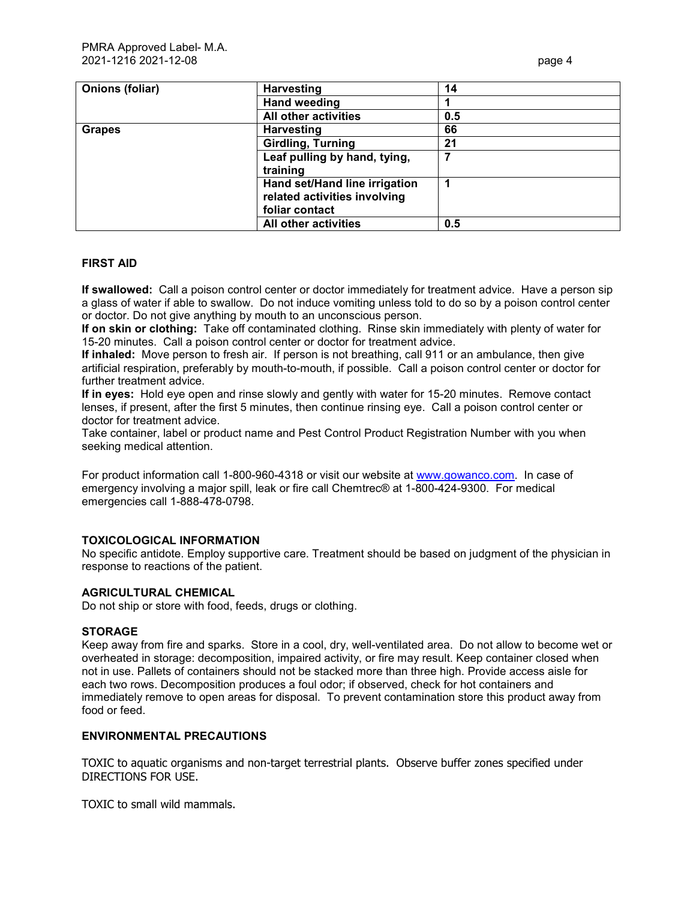| Onions (foliar) | <b>Harvesting</b>             | 14  |
|-----------------|-------------------------------|-----|
|                 | <b>Hand weeding</b>           |     |
|                 | All other activities          | 0.5 |
| <b>Grapes</b>   | <b>Harvesting</b>             | 66  |
|                 | <b>Girdling, Turning</b>      | 21  |
|                 | Leaf pulling by hand, tying,  |     |
|                 | training                      |     |
|                 | Hand set/Hand line irrigation |     |
|                 | related activities involving  |     |
|                 | foliar contact                |     |
|                 | <b>All other activities</b>   | 0.5 |

#### **FIRST AID**

**If swallowed:** Call a poison control center or doctor immediately for treatment advice. Have a person sip a glass of water if able to swallow. Do not induce vomiting unless told to do so by a poison control center or doctor. Do not give anything by mouth to an unconscious person.

**If on skin or clothing:** Take off contaminated clothing. Rinse skin immediately with plenty of water for 15-20 minutes. Call a poison control center or doctor for treatment advice.

**If inhaled:** Move person to fresh air. If person is not breathing, call 911 or an ambulance, then give artificial respiration, preferably by mouth-to-mouth, if possible. Call a poison control center or doctor for further treatment advice.

**If in eyes:** Hold eye open and rinse slowly and gently with water for 15-20 minutes. Remove contact lenses, if present, after the first 5 minutes, then continue rinsing eye. Call a poison control center or doctor for treatment advice.

Take container, label or product name and Pest Control Product Registration Number with you when seeking medical attention.

For product information call 1-800-960-4318 or visit our website at www.gowanco.com. In case of emergency involving a major spill, leak or fire call Chemtrec® at 1-800-424-9300. For medical emergencies call 1-888-478-0798.

#### **TOXICOLOGICAL INFORMATION**

No specific antidote. Employ supportive care. Treatment should be based on judgment of the physician in response to reactions of the patient.

#### **AGRICULTURAL CHEMICAL**

Do not ship or store with food, feeds, drugs or clothing.

#### **STORAGE**

Keep away from fire and sparks. Store in a cool, dry, well-ventilated area. Do not allow to become wet or overheated in storage: decomposition, impaired activity, or fire may result. Keep container closed when not in use. Pallets of containers should not be stacked more than three high. Provide access aisle for each two rows. Decomposition produces a foul odor; if observed, check for hot containers and immediately remove to open areas for disposal. To prevent contamination store this product away from food or feed.

#### **ENVIRONMENTAL PRECAUTIONS**

TOXIC to aquatic organisms and non-target terrestrial plants. Observe buffer zones specified under DIRECTIONS FOR USE.

TOXIC to small wild mammals.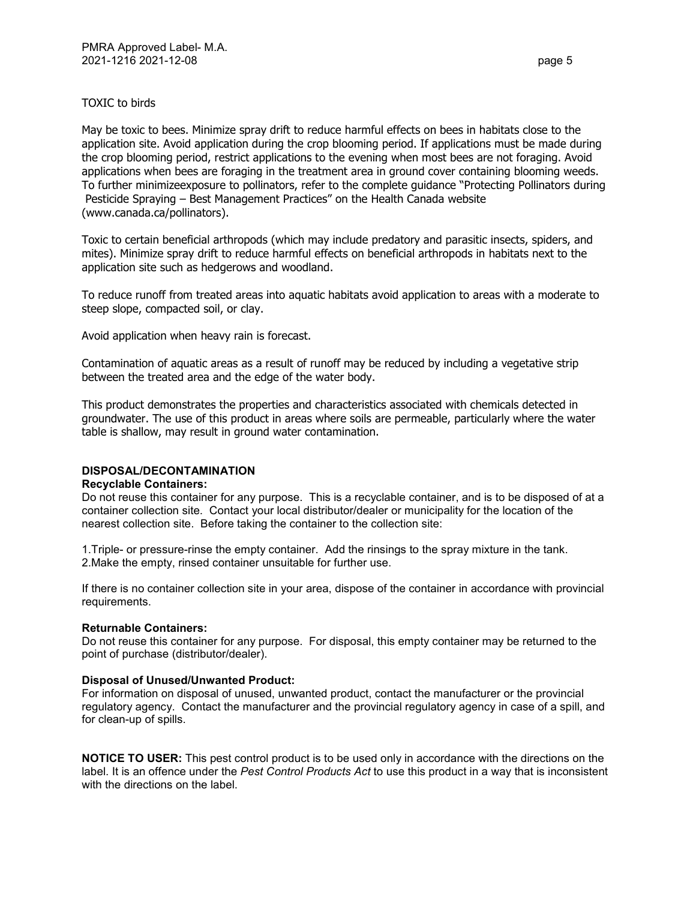## TOXIC to birds

May be toxic to bees. Minimize spray drift to reduce harmful effects on bees in habitats close to the application site. Avoid application during the crop blooming period. If applications must be made during the crop blooming period, restrict applications to the evening when most bees are not foraging. Avoid applications when bees are foraging in the treatment area in ground cover containing blooming weeds. To further minimizeexposure to pollinators, refer to the complete guidance "Protecting Pollinators during Pesticide Spraying – Best Management Practices" on the Health Canada website (www.canada.ca/pollinators).

Toxic to certain beneficial arthropods (which may include predatory and parasitic insects, spiders, and mites). Minimize spray drift to reduce harmful effects on beneficial arthropods in habitats next to the application site such as hedgerows and woodland.

To reduce runoff from treated areas into aquatic habitats avoid application to areas with a moderate to steep slope, compacted soil, or clay.

Avoid application when heavy rain is forecast.

Contamination of aquatic areas as a result of runoff may be reduced by including a vegetative strip between the treated area and the edge of the water body.

This product demonstrates the properties and characteristics associated with chemicals detected in groundwater. The use of this product in areas where soils are permeable, particularly where the water table is shallow, may result in ground water contamination.

#### **DISPOSAL/DECONTAMINATION**

#### **Recyclable Containers:**

Do not reuse this container for any purpose. This is a recyclable container, and is to be disposed of at a container collection site. Contact your local distributor/dealer or municipality for the location of the nearest collection site. Before taking the container to the collection site:

1.Triple- or pressure-rinse the empty container. Add the rinsings to the spray mixture in the tank. 2.Make the empty, rinsed container unsuitable for further use.

If there is no container collection site in your area, dispose of the container in accordance with provincial requirements.

#### **Returnable Containers:**

Do not reuse this container for any purpose. For disposal, this empty container may be returned to the point of purchase (distributor/dealer).

#### **Disposal of Unused/Unwanted Product:**

For information on disposal of unused, unwanted product, contact the manufacturer or the provincial regulatory agency. Contact the manufacturer and the provincial regulatory agency in case of a spill, and for clean-up of spills.

**NOTICE TO USER:** This pest control product is to be used only in accordance with the directions on the label. It is an offence under the *Pest Control Products Act* to use this product in a way that is inconsistent with the directions on the label.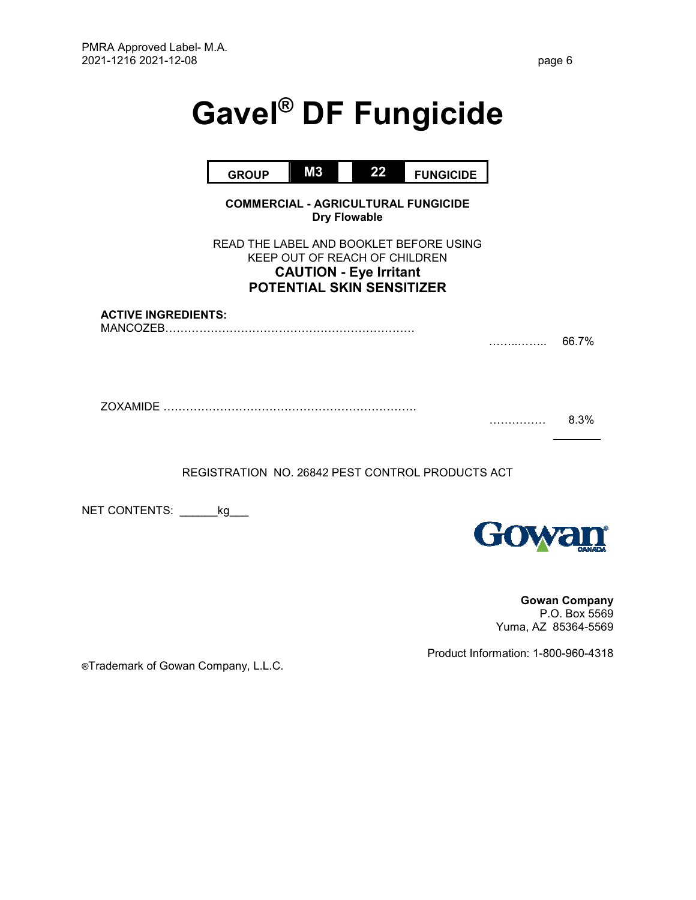# **Gavel® DF Fungicide**

|                                        | <b>GROUP</b> | M3                                                                                                 | 22 | <b>FUNGICIDE</b>                           |   |       |
|----------------------------------------|--------------|----------------------------------------------------------------------------------------------------|----|--------------------------------------------|---|-------|
|                                        |              | <b>Dry Flowable</b>                                                                                |    | <b>COMMERCIAL - AGRICULTURAL FUNGICIDE</b> |   |       |
|                                        |              | KEEP OUT OF REACH OF CHILDREN<br><b>CAUTION - Eye Irritant</b><br><b>POTENTIAL SKIN SENSITIZER</b> |    | READ THE LABEL AND BOOKLET BEFORE USING    |   |       |
| <b>ACTIVE INGREDIENTS:</b><br>MANCOZEB |              |                                                                                                    |    |                                            | . | 66.7% |
| <b>ZOXAMIDE</b>                        |              |                                                                                                    |    |                                            |   | 8.3%  |
|                                        |              |                                                                                                    |    |                                            |   |       |

REGISTRATION NO. 26842 PEST CONTROL PRODUCTS ACT

NET CONTENTS: \_\_\_\_\_\_\_kg\_\_\_



**Gowan Company**  P.O. Box 5569 Yuma, AZ 85364-5569

®Trademark of Gowan Company, L.L.C.

Product Information: 1-800-960-4318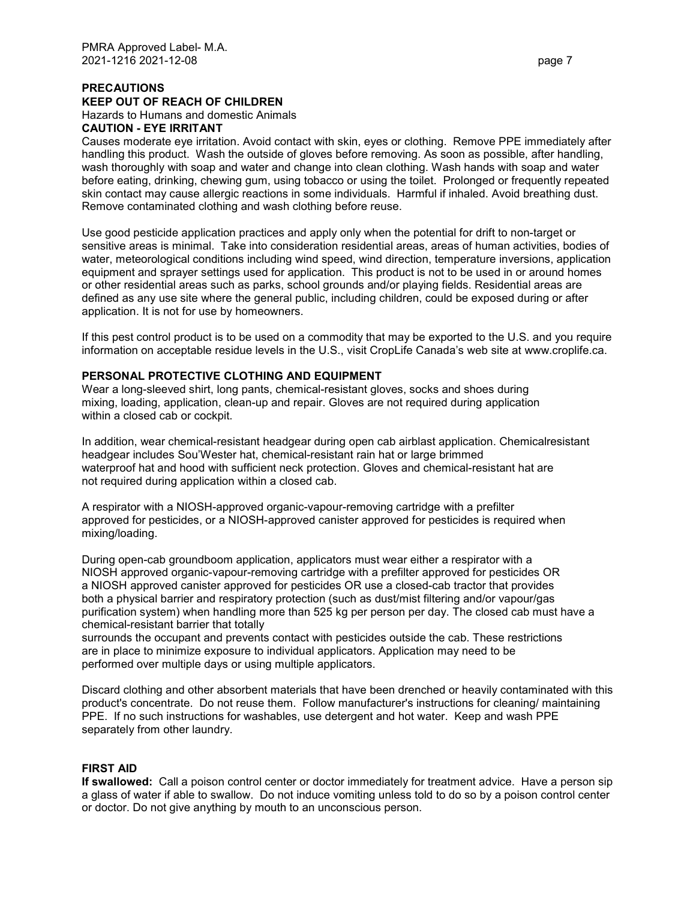# **PRECAUTIONS**

# **KEEP OUT OF REACH OF CHILDREN**

Hazards to Humans and domestic Animals

# **CAUTION - EYE IRRITANT**

Causes moderate eye irritation. Avoid contact with skin, eyes or clothing. Remove PPE immediately after handling this product. Wash the outside of gloves before removing. As soon as possible, after handling, wash thoroughly with soap and water and change into clean clothing. Wash hands with soap and water before eating, drinking, chewing gum, using tobacco or using the toilet. Prolonged or frequently repeated skin contact may cause allergic reactions in some individuals. Harmful if inhaled. Avoid breathing dust. Remove contaminated clothing and wash clothing before reuse.

Use good pesticide application practices and apply only when the potential for drift to non-target or sensitive areas is minimal. Take into consideration residential areas, areas of human activities, bodies of water, meteorological conditions including wind speed, wind direction, temperature inversions, application equipment and sprayer settings used for application. This product is not to be used in or around homes or other residential areas such as parks, school grounds and/or playing fields. Residential areas are defined as any use site where the general public, including children, could be exposed during or after application. It is not for use by homeowners.

If this pest control product is to be used on a commodity that may be exported to the U.S. and you require information on acceptable residue levels in the U.S., visit CropLife Canada's web site at www.croplife.ca.

# **PERSONAL PROTECTIVE CLOTHING AND EQUIPMENT**

Wear a long-sleeved shirt, long pants, chemical-resistant gloves, socks and shoes during mixing, loading, application, clean-up and repair. Gloves are not required during application within a closed cab or cockpit.

In addition, wear chemical-resistant headgear during open cab airblast application. Chemicalresistant headgear includes Sou'Wester hat, chemical-resistant rain hat or large brimmed waterproof hat and hood with sufficient neck protection. Gloves and chemical-resistant hat are not required during application within a closed cab.

A respirator with a NIOSH-approved organic-vapour-removing cartridge with a prefilter approved for pesticides, or a NIOSH-approved canister approved for pesticides is required when mixing/loading.

During open-cab groundboom application, applicators must wear either a respirator with a NIOSH approved organic-vapour-removing cartridge with a prefilter approved for pesticides OR a NIOSH approved canister approved for pesticides OR use a closed-cab tractor that provides both a physical barrier and respiratory protection (such as dust/mist filtering and/or vapour/gas purification system) when handling more than 525 kg per person per day. The closed cab must have a chemical-resistant barrier that totally

surrounds the occupant and prevents contact with pesticides outside the cab. These restrictions are in place to minimize exposure to individual applicators. Application may need to be performed over multiple days or using multiple applicators.

Discard clothing and other absorbent materials that have been drenched or heavily contaminated with this product's concentrate. Do not reuse them. Follow manufacturer's instructions for cleaning/ maintaining PPE. If no such instructions for washables, use detergent and hot water. Keep and wash PPE separately from other laundry.

# **FIRST AID**

**If swallowed:** Call a poison control center or doctor immediately for treatment advice. Have a person sip a glass of water if able to swallow. Do not induce vomiting unless told to do so by a poison control center or doctor. Do not give anything by mouth to an unconscious person.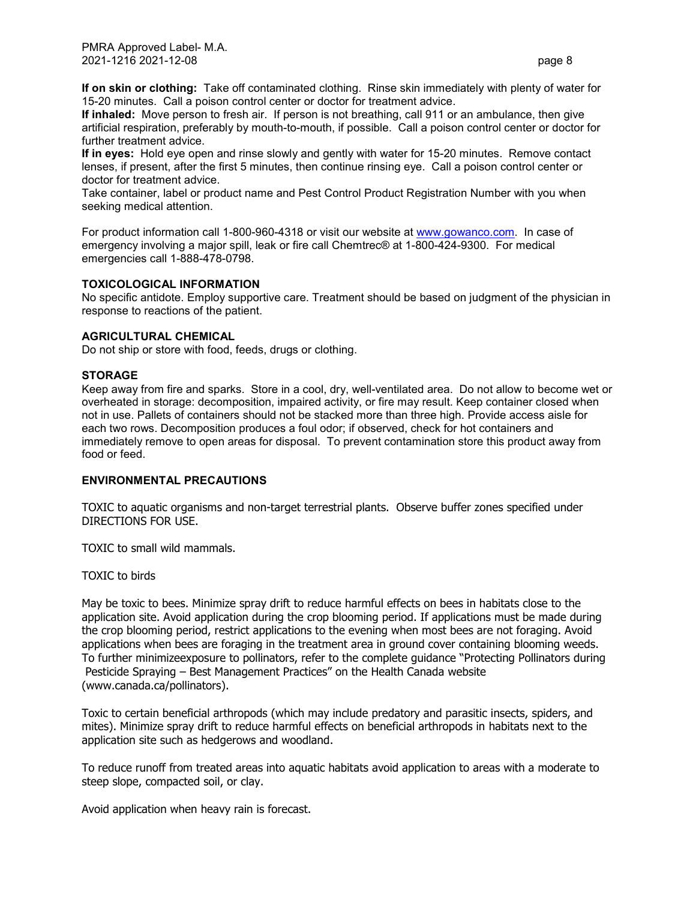**If on skin or clothing:** Take off contaminated clothing. Rinse skin immediately with plenty of water for 15-20 minutes. Call a poison control center or doctor for treatment advice.

**If inhaled:** Move person to fresh air. If person is not breathing, call 911 or an ambulance, then give artificial respiration, preferably by mouth-to-mouth, if possible. Call a poison control center or doctor for further treatment advice.

**If in eyes:** Hold eye open and rinse slowly and gently with water for 15-20 minutes. Remove contact lenses, if present, after the first 5 minutes, then continue rinsing eye. Call a poison control center or doctor for treatment advice.

Take container, label or product name and Pest Control Product Registration Number with you when seeking medical attention.

For product information call 1-800-960-4318 or visit our website at www.gowanco.com. In case of emergency involving a major spill, leak or fire call Chemtrec® at 1-800-424-9300. For medical emergencies call 1-888-478-0798.

#### **TOXICOLOGICAL INFORMATION**

No specific antidote. Employ supportive care. Treatment should be based on judgment of the physician in response to reactions of the patient.

#### **AGRICULTURAL CHEMICAL**

Do not ship or store with food, feeds, drugs or clothing.

#### **STORAGE**

Keep away from fire and sparks. Store in a cool, dry, well-ventilated area. Do not allow to become wet or overheated in storage: decomposition, impaired activity, or fire may result. Keep container closed when not in use. Pallets of containers should not be stacked more than three high. Provide access aisle for each two rows. Decomposition produces a foul odor; if observed, check for hot containers and immediately remove to open areas for disposal. To prevent contamination store this product away from food or feed.

#### **ENVIRONMENTAL PRECAUTIONS**

TOXIC to aquatic organisms and non-target terrestrial plants. Observe buffer zones specified under DIRECTIONS FOR USE.

TOXIC to small wild mammals.

#### TOXIC to birds

May be toxic to bees. Minimize spray drift to reduce harmful effects on bees in habitats close to the application site. Avoid application during the crop blooming period. If applications must be made during the crop blooming period, restrict applications to the evening when most bees are not foraging. Avoid applications when bees are foraging in the treatment area in ground cover containing blooming weeds. To further minimizeexposure to pollinators, refer to the complete guidance "Protecting Pollinators during Pesticide Spraying – Best Management Practices" on the Health Canada website (www.canada.ca/pollinators).

Toxic to certain beneficial arthropods (which may include predatory and parasitic insects, spiders, and mites). Minimize spray drift to reduce harmful effects on beneficial arthropods in habitats next to the application site such as hedgerows and woodland.

To reduce runoff from treated areas into aquatic habitats avoid application to areas with a moderate to steep slope, compacted soil, or clay.

Avoid application when heavy rain is forecast.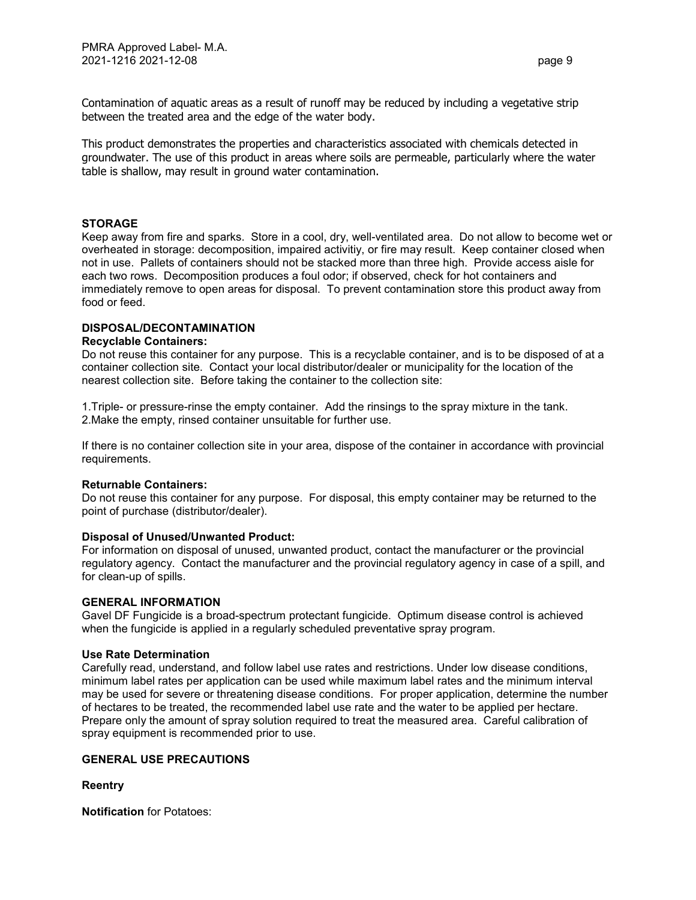Contamination of aquatic areas as a result of runoff may be reduced by including a vegetative strip between the treated area and the edge of the water body.

This product demonstrates the properties and characteristics associated with chemicals detected in groundwater. The use of this product in areas where soils are permeable, particularly where the water table is shallow, may result in ground water contamination.

#### **STORAGE**

Keep away from fire and sparks. Store in a cool, dry, well-ventilated area. Do not allow to become wet or overheated in storage: decomposition, impaired activitiy, or fire may result. Keep container closed when not in use. Pallets of containers should not be stacked more than three high. Provide access aisle for each two rows. Decomposition produces a foul odor; if observed, check for hot containers and immediately remove to open areas for disposal. To prevent contamination store this product away from food or feed.

# **DISPOSAL/DECONTAMINATION**

#### **Recyclable Containers:**

Do not reuse this container for any purpose. This is a recyclable container, and is to be disposed of at a container collection site. Contact your local distributor/dealer or municipality for the location of the nearest collection site. Before taking the container to the collection site:

1.Triple- or pressure-rinse the empty container. Add the rinsings to the spray mixture in the tank. 2.Make the empty, rinsed container unsuitable for further use.

If there is no container collection site in your area, dispose of the container in accordance with provincial requirements.

#### **Returnable Containers:**

Do not reuse this container for any purpose. For disposal, this empty container may be returned to the point of purchase (distributor/dealer).

#### **Disposal of Unused/Unwanted Product:**

For information on disposal of unused, unwanted product, contact the manufacturer or the provincial regulatory agency. Contact the manufacturer and the provincial regulatory agency in case of a spill, and for clean-up of spills.

#### **GENERAL INFORMATION**

Gavel DF Fungicide is a broad-spectrum protectant fungicide. Optimum disease control is achieved when the fungicide is applied in a regularly scheduled preventative spray program.

#### **Use Rate Determination**

Carefully read, understand, and follow label use rates and restrictions. Under low disease conditions, minimum label rates per application can be used while maximum label rates and the minimum interval may be used for severe or threatening disease conditions. For proper application, determine the number of hectares to be treated, the recommended label use rate and the water to be applied per hectare. Prepare only the amount of spray solution required to treat the measured area. Careful calibration of spray equipment is recommended prior to use.

#### **GENERAL USE PRECAUTIONS**

**Reentry**

**Notification** for Potatoes: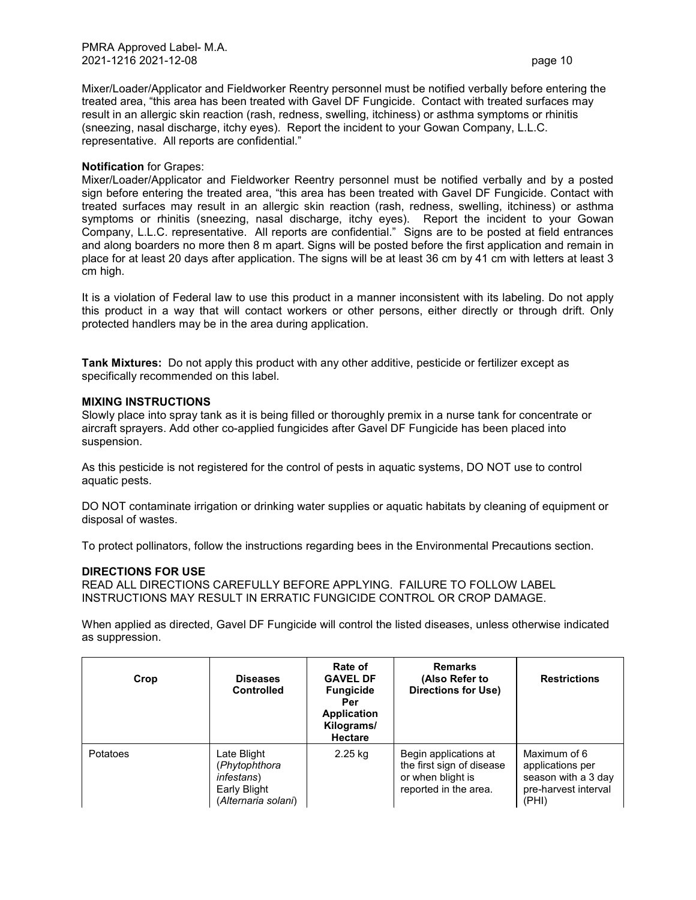Mixer/Loader/Applicator and Fieldworker Reentry personnel must be notified verbally before entering the treated area, "this area has been treated with Gavel DF Fungicide. Contact with treated surfaces may result in an allergic skin reaction (rash, redness, swelling, itchiness) or asthma symptoms or rhinitis (sneezing, nasal discharge, itchy eyes). Report the incident to your Gowan Company, L.L.C. representative. All reports are confidential."

#### **Notification** for Grapes:

Mixer/Loader/Applicator and Fieldworker Reentry personnel must be notified verbally and by a posted sign before entering the treated area, "this area has been treated with Gavel DF Fungicide. Contact with treated surfaces may result in an allergic skin reaction (rash, redness, swelling, itchiness) or asthma symptoms or rhinitis (sneezing, nasal discharge, itchy eyes). Report the incident to your Gowan Company, L.L.C. representative. All reports are confidential." Signs are to be posted at field entrances and along boarders no more then 8 m apart. Signs will be posted before the first application and remain in place for at least 20 days after application. The signs will be at least 36 cm by 41 cm with letters at least 3 cm high.

It is a violation of Federal law to use this product in a manner inconsistent with its labeling. Do not apply this product in a way that will contact workers or other persons, either directly or through drift. Only protected handlers may be in the area during application.

**Tank Mixtures:** Do not apply this product with any other additive, pesticide or fertilizer except as specifically recommended on this label.

#### **MIXING INSTRUCTIONS**

Slowly place into spray tank as it is being filled or thoroughly premix in a nurse tank for concentrate or aircraft sprayers. Add other co-applied fungicides after Gavel DF Fungicide has been placed into suspension.

As this pesticide is not registered for the control of pests in aquatic systems, DO NOT use to control aquatic pests.

DO NOT contaminate irrigation or drinking water supplies or aquatic habitats by cleaning of equipment or disposal of wastes.

To protect pollinators, follow the instructions regarding bees in the Environmental Precautions section.

#### **DIRECTIONS FOR USE**

READ ALL DIRECTIONS CAREFULLY BEFORE APPLYING. FAILURE TO FOLLOW LABEL INSTRUCTIONS MAY RESULT IN ERRATIC FUNGICIDE CONTROL OR CROP DAMAGE.

When applied as directed, Gavel DF Fungicide will control the listed diseases, unless otherwise indicated as suppression.

| Crop     | <b>Diseases</b><br><b>Controlled</b>                                                      | Rate of<br><b>GAVEL DF</b><br><b>Fungicide</b><br>Per<br><b>Application</b><br>Kilograms/<br><b>Hectare</b> | <b>Remarks</b><br>(Also Refer to<br>Directions for Use)                                          | <b>Restrictions</b>                                                                      |
|----------|-------------------------------------------------------------------------------------------|-------------------------------------------------------------------------------------------------------------|--------------------------------------------------------------------------------------------------|------------------------------------------------------------------------------------------|
| Potatoes | Late Blight<br>(Phytophthora<br><i>infestans</i> )<br>Early Blight<br>(Alternaria solani) | 2.25 kg                                                                                                     | Begin applications at<br>the first sign of disease<br>or when blight is<br>reported in the area. | Maximum of 6<br>applications per<br>season with a 3 day<br>pre-harvest interval<br>(PHI) |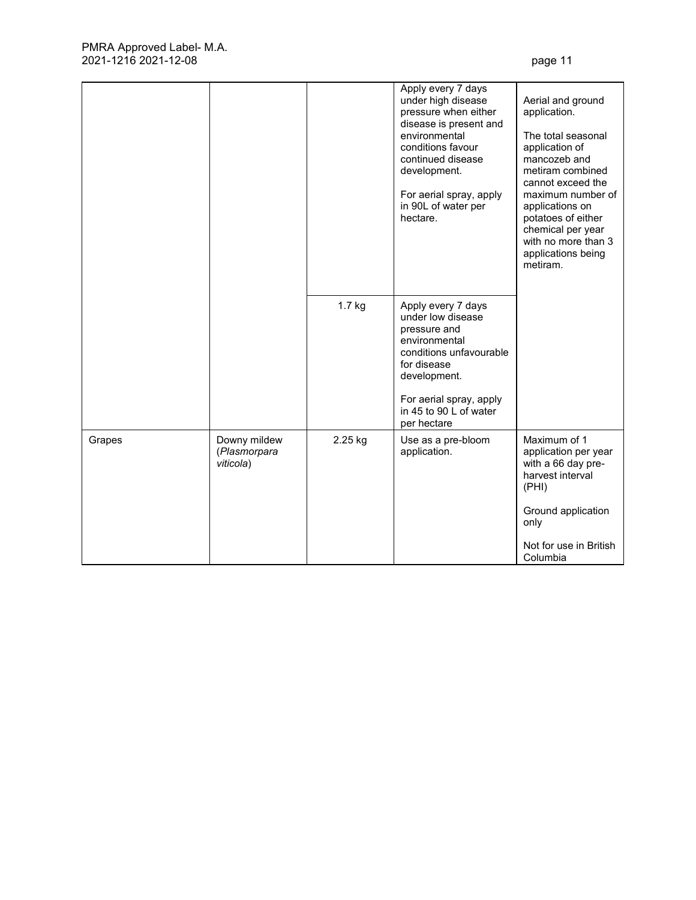|        |                                           |         | Apply every 7 days<br>under high disease<br>pressure when either<br>disease is present and<br>environmental<br>conditions favour<br>continued disease<br>development.<br>For aerial spray, apply<br>in 90L of water per<br>hectare. | Aerial and ground<br>application.<br>The total seasonal<br>application of<br>mancozeb and<br>metiram combined<br>cannot exceed the<br>maximum number of<br>applications on<br>potatoes of either<br>chemical per year<br>with no more than 3<br>applications being<br>metiram. |
|--------|-------------------------------------------|---------|-------------------------------------------------------------------------------------------------------------------------------------------------------------------------------------------------------------------------------------|--------------------------------------------------------------------------------------------------------------------------------------------------------------------------------------------------------------------------------------------------------------------------------|
|        |                                           | 1.7 kg  | Apply every 7 days<br>under low disease<br>pressure and<br>environmental<br>conditions unfavourable<br>for disease<br>development.<br>For aerial spray, apply<br>in 45 to 90 L of water<br>per hectare                              |                                                                                                                                                                                                                                                                                |
| Grapes | Downy mildew<br>(Plasmorpara<br>viticola) | 2.25 kg | Use as a pre-bloom<br>application.                                                                                                                                                                                                  | Maximum of 1<br>application per year<br>with a 66 day pre-<br>harvest interval<br>(PHI)<br>Ground application<br>only<br>Not for use in British<br>Columbia                                                                                                                    |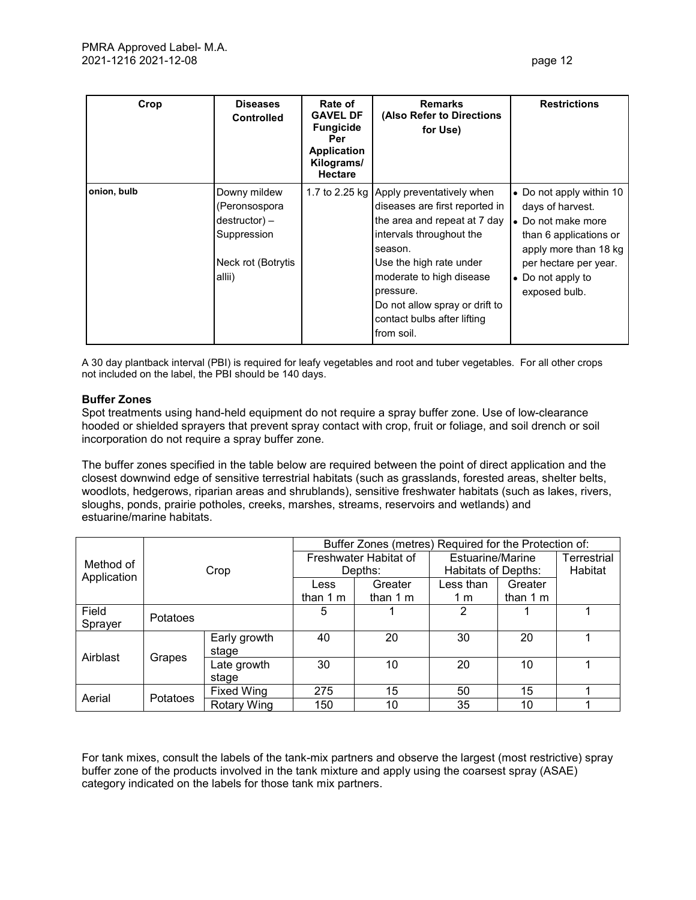| Crop        | <b>Diseases</b><br><b>Controlled</b>                                                                | Rate of<br><b>GAVEL DF</b><br><b>Fungicide</b><br>Per<br><b>Application</b><br>Kilograms/<br><b>Hectare</b> | <b>Remarks</b><br>(Also Refer to Directions<br>for Use)                                                                                                                                                                                                                                              | <b>Restrictions</b>                                                                                                                                                                  |
|-------------|-----------------------------------------------------------------------------------------------------|-------------------------------------------------------------------------------------------------------------|------------------------------------------------------------------------------------------------------------------------------------------------------------------------------------------------------------------------------------------------------------------------------------------------------|--------------------------------------------------------------------------------------------------------------------------------------------------------------------------------------|
| onion, bulb | Downy mildew<br>(Peronsospora<br>$d$ estructor $) -$<br>Suppression<br>Neck rot (Botrytis<br>allii) |                                                                                                             | 1.7 to 2.25 kg Apply preventatively when<br>diseases are first reported in<br>the area and repeat at 7 day<br>intervals throughout the<br>season.<br>Use the high rate under<br>moderate to high disease<br>pressure.<br>Do not allow spray or drift to<br>contact bulbs after lifting<br>from soil. | • Do not apply within 10<br>days of harvest.<br>• Do not make more<br>than 6 applications or<br>apply more than 18 kg<br>per hectare per year.<br>• Do not apply to<br>exposed bulb. |

A 30 day plantback interval (PBI) is required for leafy vegetables and root and tuber vegetables. For all other crops not included on the label, the PBI should be 140 days.

### **Buffer Zones**

Spot treatments using hand-held equipment do not require a spray buffer zone. Use of low-clearance hooded or shielded sprayers that prevent spray contact with crop, fruit or foliage, and soil drench or soil incorporation do not require a spray buffer zone.

The buffer zones specified in the table below are required between the point of direct application and the closest downwind edge of sensitive terrestrial habitats (such as grasslands, forested areas, shelter belts, woodlots, hedgerows, riparian areas and shrublands), sensitive freshwater habitats (such as lakes, rivers, sloughs, ponds, prairie potholes, creeks, marshes, streams, reservoirs and wetlands) and estuarine/marine habitats.

|                    |                                       |                      | Buffer Zones (metres) Required for the Protection of: |           |                  |                            |             |  |
|--------------------|---------------------------------------|----------------------|-------------------------------------------------------|-----------|------------------|----------------------------|-------------|--|
| Method of          |                                       |                      | Freshwater Habitat of                                 |           | Estuarine/Marine |                            | Terrestrial |  |
|                    |                                       | Crop                 |                                                       | Depths:   |                  | <b>Habitats of Depths:</b> |             |  |
| Application        |                                       |                      |                                                       | Greater   | Less than        | Greater                    |             |  |
|                    |                                       |                      |                                                       | than $1m$ | 1 m              | than $1 \text{ m}$         |             |  |
| Field<br>Sprayer   | Potatoes                              |                      | 5                                                     |           | 2                |                            |             |  |
| Airblast<br>Grapes | Early growth<br>stage                 | 40                   | 20                                                    | 30        | 20               |                            |             |  |
|                    |                                       | Late growth<br>stage | 30                                                    | 10        | 20               | 10                         |             |  |
| Aerial             |                                       | <b>Fixed Wing</b>    | 275                                                   | 15        | 50               | 15                         |             |  |
|                    | <b>Potatoes</b><br><b>Rotary Wing</b> |                      | 150                                                   | 10        | 35               | 10                         |             |  |

For tank mixes, consult the labels of the tank-mix partners and observe the largest (most restrictive) spray buffer zone of the products involved in the tank mixture and apply using the coarsest spray (ASAE) category indicated on the labels for those tank mix partners.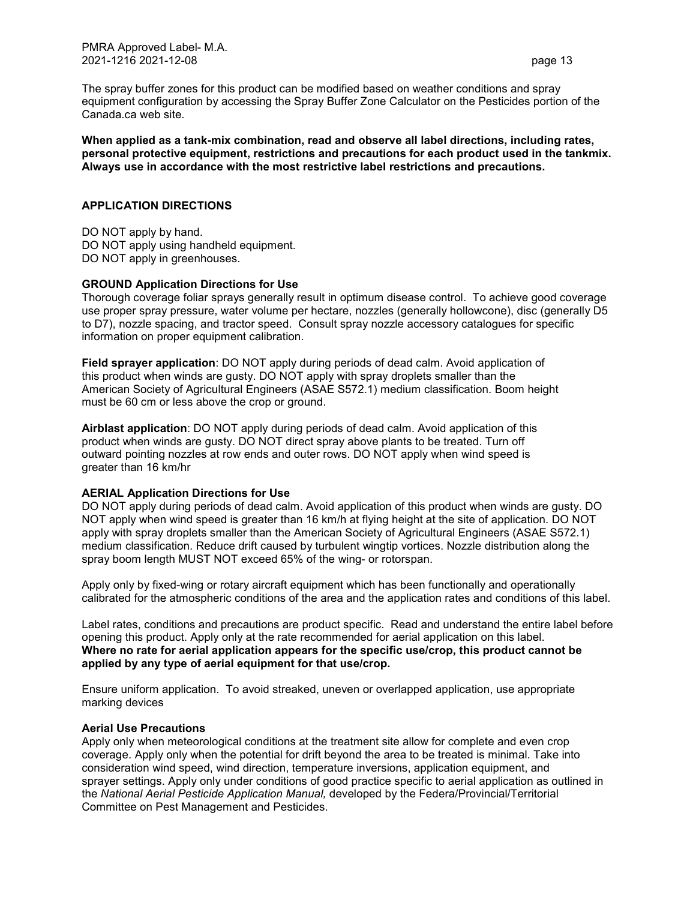The spray buffer zones for this product can be modified based on weather conditions and spray equipment configuration by accessing the Spray Buffer Zone Calculator on the Pesticides portion of the Canada.ca web site.

**When applied as a tank-mix combination, read and observe all label directions, including rates, personal protective equipment, restrictions and precautions for each product used in the tankmix. Always use in accordance with the most restrictive label restrictions and precautions.** 

### **APPLICATION DIRECTIONS**

DO NOT apply by hand. DO NOT apply using handheld equipment. DO NOT apply in greenhouses.

# **GROUND Application Directions for Use**

Thorough coverage foliar sprays generally result in optimum disease control. To achieve good coverage use proper spray pressure, water volume per hectare, nozzles (generally hollowcone), disc (generally D5 to D7), nozzle spacing, and tractor speed. Consult spray nozzle accessory catalogues for specific information on proper equipment calibration.

**Field sprayer application**: DO NOT apply during periods of dead calm. Avoid application of this product when winds are gusty. DO NOT apply with spray droplets smaller than the American Society of Agricultural Engineers (ASAE S572.1) medium classification. Boom height must be 60 cm or less above the crop or ground.

**Airblast application**: DO NOT apply during periods of dead calm. Avoid application of this product when winds are gusty. DO NOT direct spray above plants to be treated. Turn off outward pointing nozzles at row ends and outer rows. DO NOT apply when wind speed is greater than 16 km/hr

#### **AERIAL Application Directions for Use**

DO NOT apply during periods of dead calm. Avoid application of this product when winds are gusty. DO NOT apply when wind speed is greater than 16 km/h at flying height at the site of application. DO NOT apply with spray droplets smaller than the American Society of Agricultural Engineers (ASAE S572.1) medium classification. Reduce drift caused by turbulent wingtip vortices. Nozzle distribution along the spray boom length MUST NOT exceed 65% of the wing- or rotorspan.

Apply only by fixed-wing or rotary aircraft equipment which has been functionally and operationally calibrated for the atmospheric conditions of the area and the application rates and conditions of this label.

Label rates, conditions and precautions are product specific. Read and understand the entire label before opening this product. Apply only at the rate recommended for aerial application on this label. **Where no rate for aerial application appears for the specific use/crop, this product cannot be applied by any type of aerial equipment for that use/crop.** 

Ensure uniform application. To avoid streaked, uneven or overlapped application, use appropriate marking devices

#### **Aerial Use Precautions**

Apply only when meteorological conditions at the treatment site allow for complete and even crop coverage. Apply only when the potential for drift beyond the area to be treated is minimal. Take into consideration wind speed, wind direction, temperature inversions, application equipment, and sprayer settings. Apply only under conditions of good practice specific to aerial application as outlined in the *National Aerial Pesticide Application Manual,* developed by the Federa/Provincial/Territorial Committee on Pest Management and Pesticides.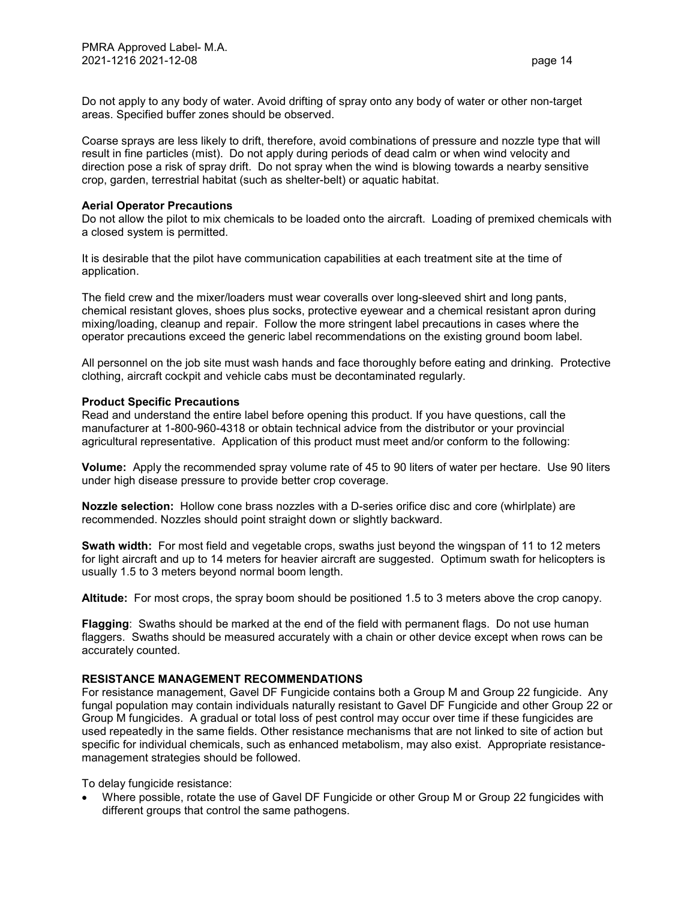Do not apply to any body of water. Avoid drifting of spray onto any body of water or other non-target areas. Specified buffer zones should be observed.

Coarse sprays are less likely to drift, therefore, avoid combinations of pressure and nozzle type that will result in fine particles (mist). Do not apply during periods of dead calm or when wind velocity and direction pose a risk of spray drift. Do not spray when the wind is blowing towards a nearby sensitive crop, garden, terrestrial habitat (such as shelter-belt) or aquatic habitat.

#### **Aerial Operator Precautions**

Do not allow the pilot to mix chemicals to be loaded onto the aircraft. Loading of premixed chemicals with a closed system is permitted.

It is desirable that the pilot have communication capabilities at each treatment site at the time of application.

The field crew and the mixer/loaders must wear coveralls over long-sleeved shirt and long pants, chemical resistant gloves, shoes plus socks, protective eyewear and a chemical resistant apron during mixing/loading, cleanup and repair. Follow the more stringent label precautions in cases where the operator precautions exceed the generic label recommendations on the existing ground boom label.

All personnel on the job site must wash hands and face thoroughly before eating and drinking. Protective clothing, aircraft cockpit and vehicle cabs must be decontaminated regularly.

#### **Product Specific Precautions**

Read and understand the entire label before opening this product. If you have questions, call the manufacturer at 1-800-960-4318 or obtain technical advice from the distributor or your provincial agricultural representative. Application of this product must meet and/or conform to the following:

**Volume:** Apply the recommended spray volume rate of 45 to 90 liters of water per hectare. Use 90 liters under high disease pressure to provide better crop coverage.

**Nozzle selection:** Hollow cone brass nozzles with a D-series orifice disc and core (whirlplate) are recommended. Nozzles should point straight down or slightly backward.

**Swath width:** For most field and vegetable crops, swaths just beyond the wingspan of 11 to 12 meters for light aircraft and up to 14 meters for heavier aircraft are suggested. Optimum swath for helicopters is usually 1.5 to 3 meters beyond normal boom length.

**Altitude:** For most crops, the spray boom should be positioned 1.5 to 3 meters above the crop canopy.

**Flagging**: Swaths should be marked at the end of the field with permanent flags. Do not use human flaggers. Swaths should be measured accurately with a chain or other device except when rows can be accurately counted.

#### **RESISTANCE MANAGEMENT RECOMMENDATIONS**

For resistance management, Gavel DF Fungicide contains both a Group M and Group 22 fungicide. Any fungal population may contain individuals naturally resistant to Gavel DF Fungicide and other Group 22 or Group M fungicides. A gradual or total loss of pest control may occur over time if these fungicides are used repeatedly in the same fields. Other resistance mechanisms that are not linked to site of action but specific for individual chemicals, such as enhanced metabolism, may also exist. Appropriate resistancemanagement strategies should be followed.

To delay fungicide resistance:

 Where possible, rotate the use of Gavel DF Fungicide or other Group M or Group 22 fungicides with different groups that control the same pathogens.